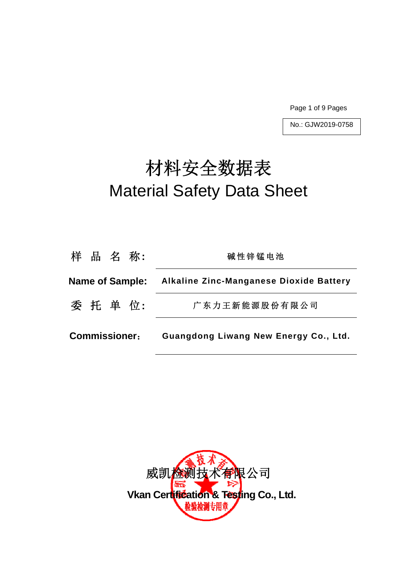Page 1 of 9 Pages

No.: GJW2019-0758

# 材料安全数据表 Material Safety Data Sheet

| 广东力王新能源股份有限公司                         |
|---------------------------------------|
| Guangdong Liwang New Energy Co., Ltd. |
|                                       |

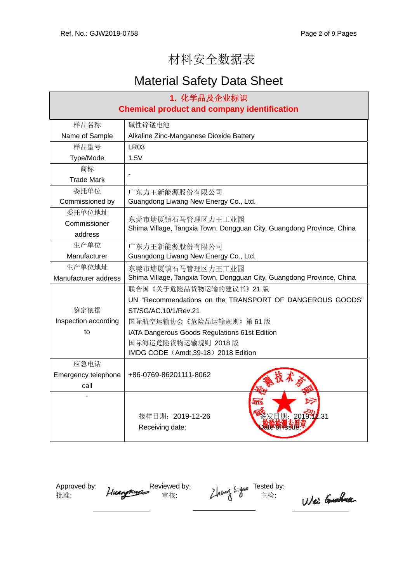## 材料安全数据表

## Material Safety Data Sheet

| 1. 化学品及企业标识                                        |                                                                                           |  |  |  |  |
|----------------------------------------------------|-------------------------------------------------------------------------------------------|--|--|--|--|
| <b>Chemical product and company identification</b> |                                                                                           |  |  |  |  |
| 样品名称                                               | 碱性锌锰电池                                                                                    |  |  |  |  |
| Name of Sample                                     | Alkaline Zinc-Manganese Dioxide Battery                                                   |  |  |  |  |
| 样品型号                                               | LR <sub>03</sub>                                                                          |  |  |  |  |
| Type/Mode                                          | 1.5V                                                                                      |  |  |  |  |
| 商标                                                 |                                                                                           |  |  |  |  |
| <b>Trade Mark</b>                                  |                                                                                           |  |  |  |  |
| 委托单位                                               | 广东力王新能源股份有限公司                                                                             |  |  |  |  |
| Commissioned by                                    | Guangdong Liwang New Energy Co., Ltd.                                                     |  |  |  |  |
| 委托单位地址                                             |                                                                                           |  |  |  |  |
| Commissioner                                       | 东莞市塘厦镇石马管理区力王工业园<br>Shima Village, Tangxia Town, Dongguan City, Guangdong Province, China |  |  |  |  |
| address                                            |                                                                                           |  |  |  |  |
| 生产单位                                               | 广东力王新能源股份有限公司                                                                             |  |  |  |  |
| Manufacturer                                       | Guangdong Liwang New Energy Co., Ltd.                                                     |  |  |  |  |
| 生产单位地址                                             | 东莞市塘厦镇石马管理区力王工业园                                                                          |  |  |  |  |
| Manufacturer address                               | Shima Village, Tangxia Town, Dongguan City, Guangdong Province, China                     |  |  |  |  |
|                                                    | 联合国《关于危险品货物运输的建议书》21版                                                                     |  |  |  |  |
|                                                    | UN "Recommendations on the TRANSPORT OF DANGEROUS GOODS"                                  |  |  |  |  |
| 鉴定依据                                               | ST/SG/AC.10/1/Rev.21                                                                      |  |  |  |  |
| Inspection according                               | 国际航空运输协会《危险品运输规则》第61版                                                                     |  |  |  |  |
| to                                                 | IATA Dangerous Goods Regulations 61st Edition                                             |  |  |  |  |
|                                                    | 国际海运危险货物运输规则 2018版                                                                        |  |  |  |  |
|                                                    | IMDG CODE (Amdt.39-18) 2018 Edition                                                       |  |  |  |  |
| 应急电话                                               |                                                                                           |  |  |  |  |
| Emergency telephone                                | +86-0769-86201111-8062                                                                    |  |  |  |  |
| call                                               |                                                                                           |  |  |  |  |
|                                                    | 发日期: 2019 2:31<br>接样日期: 2019-12-26<br><b>Jare Brissue:</b><br>Receiving date:             |  |  |  |  |

Approved by:  $\bullet$  Reviewed by:  $\bullet$  Reviewed by: 批准:  $H^{\text{max}}$  审核:  $L^{\text{max}}$   $0$  主检:

Wei Couchea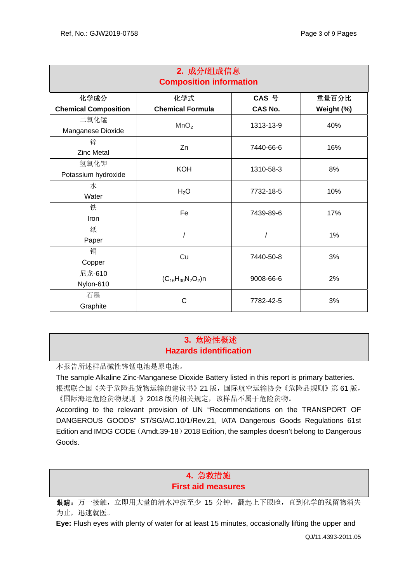| 2. 成分/组成信息<br><b>Composition information</b> |                         |                |            |  |
|----------------------------------------------|-------------------------|----------------|------------|--|
| 化学成分                                         | 化学式                     | CAS 号          | 重量百分比      |  |
| <b>Chemical Composition</b>                  | <b>Chemical Formula</b> | <b>CAS No.</b> | Weight (%) |  |
| 二氧化锰<br>Manganese Dioxide                    | MnO <sub>2</sub>        | 1313-13-9      | 40%        |  |
| 锌                                            | Zn                      | 7440-66-6      | 16%        |  |
| <b>Zinc Metal</b>                            |                         |                |            |  |
| 氢氧化钾                                         | <b>KOH</b>              | 1310-58-3      | 8%         |  |
| Potassium hydroxide                          |                         |                |            |  |
| 水                                            | $H_2O$                  | 7732-18-5      | 10%        |  |
| Water                                        |                         |                |            |  |
| 铁                                            | Fe                      | 7439-89-6      | 17%        |  |
| Iron                                         |                         |                |            |  |
| 纸                                            |                         |                | 1%         |  |
| Paper                                        |                         |                |            |  |
| 铜                                            | Cu                      | 7440-50-8      | 3%         |  |
| Copper                                       |                         |                |            |  |
| 尼龙-610                                       | $(C_{16}H_{30}N_2O_2)n$ | 9008-66-6      | 2%         |  |
| Nylon-610                                    |                         |                |            |  |
| 石墨                                           | C                       | 7782-42-5      | 3%         |  |
| Graphite                                     |                         |                |            |  |

## **3.** 危险性概述 **Hazards identification**

本报告所述样品碱性锌锰电池是原电池。

The sample Alkaline Zinc-Manganese Dioxide Battery listed in this report is primary batteries. 根据联合国《关于危险品货物运输的建议书》21 版,国际航空运输协会《危险品规则》第 61 版, 《国际海运危险货物规则 》2018 版的相关规定,该样品不属于危险货物。

According to the relevant provision of UN "Recommendations on the TRANSPORT OF DANGEROUS GOODS" ST/SG/AC.10/1/Rev.21, IATA Dangerous Goods Regulations 61st Edition and IMDG CODE (Amdt.39-18) 2018 Edition, the samples doesn't belong to Dangerous Goods.

## **4.** 急救措施 **First aid measures**

眼睛: 万一接触, 立即用大量的清水冲洗至少 15 分钟, 翻起上下眼睑, 直到化学的残留物消失 为止,迅速就医。

**Eye:** Flush eyes with plenty of water for at least 15 minutes, occasionally lifting the upper and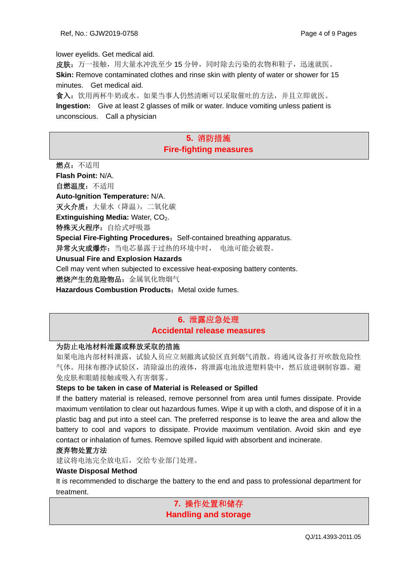lower eyelids. Get medical aid.

皮肤:万一接触,用大量水冲洗至少15分钟,同时除去污染的衣物和鞋子,迅速就医。 **Skin:** Remove contaminated clothes and rinse skin with plenty of water or shower for 15 minutes. Get medical aid.

食入:饮用两杯牛奶或水。如果当事人仍然清晰可以采取催吐的方法,并且立即就医。 **Ingestion:** Give at least 2 glasses of milk or water. Induce vomiting unless patient is unconscious. Call a physician

### **5.** 消防措施 **Fire-fighting measures**

燃点:不适用 **Flash Point:** N/A. 自燃温度:不适用 **Auto-Ignition Temperature:** N/A. 灭火介质: 大量水(降温), 二氧化碳 **Extinguishing Media: Water, CO<sub>2</sub>.** 特殊灭火程序: 自给式呼吸器 **Special Fire-Fighting Procedures: Self-contained breathing apparatus.** 异常火灾或爆炸: 当电芯暴露于过热的环境中时, 电池可能会破裂。 **Unusual Fire and Explosion Hazards**  Cell may vent when subjected to excessive heat-exposing battery contents. 燃烧产生的危险物品:金属氧化物烟气 **Hazardous Combustion Products: Metal oxide fumes.** 

## **6.** 泄露应急处理 **Accidental release measures**

#### 为防止电池材料泄露或释放采取的措施

如果电池内部材料泄露,试验人员应立刻撤离试验区直到烟气消散。将通风设备打开吹散危险性 气体。用抹布擦净试验区,清除溢出的液体,将泄露电池放进塑料袋中,然后放进钢制容器。避 免皮肤和眼睛接触或吸入有害烟雾。

#### **Steps to be taken in case of Material is Released or Spilled**

If the battery material is released, remove personnel from area until fumes dissipate. Provide maximum ventilation to clear out hazardous fumes. Wipe it up with a cloth, and dispose of it in a plastic bag and put into a steel can. The preferred response is to leave the area and allow the battery to cool and vapors to dissipate. Provide maximum ventilation. Avoid skin and eye contact or inhalation of fumes. Remove spilled liquid with absorbent and incinerate.

#### 废弃物处置方法

建议将电池完全放电后,交给专业部门处理。

#### **Waste Disposal Method**

It is recommended to discharge the battery to the end and pass to professional department for treatment.

> **7.** 操作处置和储存 **Handling and storage**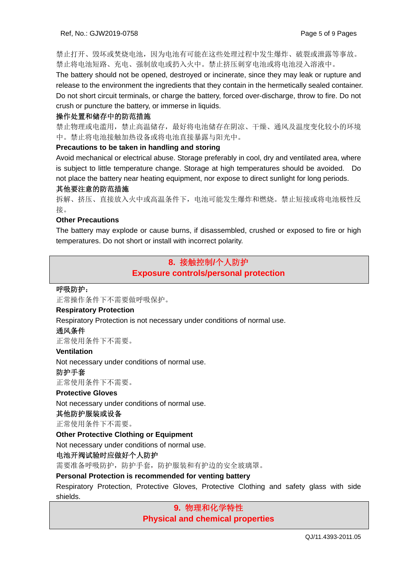禁止打开、毁坏或焚烧电池,因为电池有可能在这些处理过程中发生爆炸、破裂或泄露等事故。 禁止将电池短路、充电、强制放电或扔入火中。禁止挤压刺穿电池或将电池浸入溶液中。

The battery should not be opened, destroyed or incinerate, since they may leak or rupture and release to the environment the ingredients that they contain in the hermetically sealed container. Do not short circuit terminals, or charge the battery, forced over-discharge, throw to fire. Do not crush or puncture the battery, or immerse in liquids.

#### 操作处置和储存中的防范措施

禁止物理或电滥用,禁止高温储存,最好将电池储存在阴凉、干燥、通风及温度变化较小的环境 中。禁止将电池接触加热设备或将电池直接暴露与阳光中。

#### **Precautions to be taken in handling and storing**

Avoid mechanical or electrical abuse. Storage preferably in cool, dry and ventilated area, where is subject to little temperature change. Storage at high temperatures should be avoided. Do not place the battery near heating equipment, nor expose to direct sunlight for long periods.

#### 其他要注意的防范措施

拆解、挤压、直接放入火中或高温条件下,电池可能发生爆炸和燃烧。禁止短接或将电池极性反 接。

#### **Other Precautions**

The battery may explode or cause burns, if disassembled, crushed or exposed to fire or high temperatures. Do not short or install with incorrect polarity.

## **8.** 接触控制**/**个人防护 **Exposure controls/personal protection**

#### 呼吸防护:

正常操作条件下不需要做呼吸保护。

#### **Respiratory Protection**

Respiratory Protection is not necessary under conditions of normal use.

#### 通风条件

正常使用条件下不需要。

#### **Ventilation**

Not necessary under conditions of normal use.

#### 防护手套

正常使用条件下不需要。

#### **Protective Gloves**

Not necessary under conditions of normal use.

#### 其他防护服装或设备

正常使用条件下不需要。

#### **Other Protective Clothing or Equipment**

Not necessary under conditions of normal use.

#### 电池开阀试验时应做好个人防护

需要准备呼吸防护,防护手套,防护服装和有护边的安全玻璃罩。

#### **Personal Protection is recommended for venting battery**

Respiratory Protection, Protective Gloves, Protective Clothing and safety glass with side shields.

## **9.** 物理和化学特性 **Physical and chemical properties**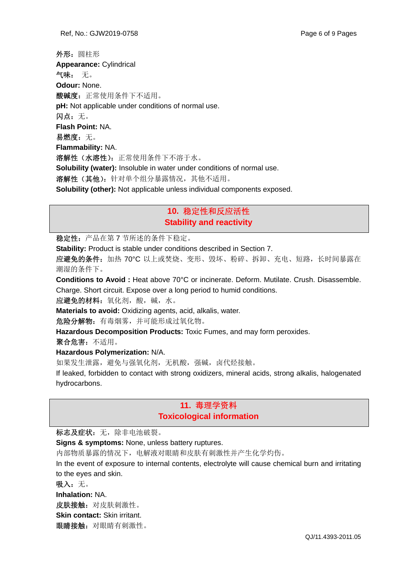外形:圆柱形 **Appearance:** Cylindrical 气味: 无。 **Odour:** None. 酸碱度: 正常使用条件下不适用。 **pH:** Not applicable under conditions of normal use. 闪点:无。 **Flash Point:** NA. 易燃度: 无。 **Flammability:** NA. 溶解性(水溶性):正常使用条件下不溶于水。 **Solubility (water):** Insoluble in water under conditions of normal use. 溶解性(其他):针对单个组分暴露情况,其他不适用。 **Solubility (other):** Not applicable unless individual components exposed.

## **10.** 稳定性和反应活性 **Stability and reactivity**

稳定性:产品在第 7 节所述的条件下稳定。

**Stability:** Product is stable under conditions described in Section 7.

应避免的条件: 加热 70°C 以上或焚烧、变形、毁坏、粉碎、拆卸、充电、短路, 长时间暴露在 潮湿的条件下。

**Conditions to Avoid :** Heat above 70°C or incinerate. Deform. Mutilate. Crush. Disassemble. Charge. Short circuit. Expose over a long period to humid conditions.

应避免的材料:氧化剂,酸,碱,水。

**Materials to avoid:** Oxidizing agents, acid, alkalis, water.

危险分解物:有毒烟雾,并可能形成过氧化物。

**Hazardous Decomposition Products:** Toxic Fumes, and may form peroxides.

聚合危害:不适用。

**Hazardous Polymerization:** N/A.

如果发生泄露,避免与强氧化剂,无机酸,强碱,卤代烃接触。

If leaked, forbidden to contact with strong oxidizers, mineral acids, strong alkalis, halogenated hydrocarbons.

## **11.** 毒理学资料 **Toxicological information**

标志及症状: 无, 除非电池破裂。

**Signs & symptoms:** None, unless battery ruptures.

内部物质暴露的情况下,电解液对眼睛和皮肤有刺激性并产生化学灼伤。

In the event of exposure to internal contents, electrolyte will cause chemical burn and irritating to the eyes and skin.

吸入:无。

**Inhalation:** NA.

皮肤接触:对皮肤刺激性。

**Skin contact:** Skin irritant.

眼睛接触:对眼睛有刺激性。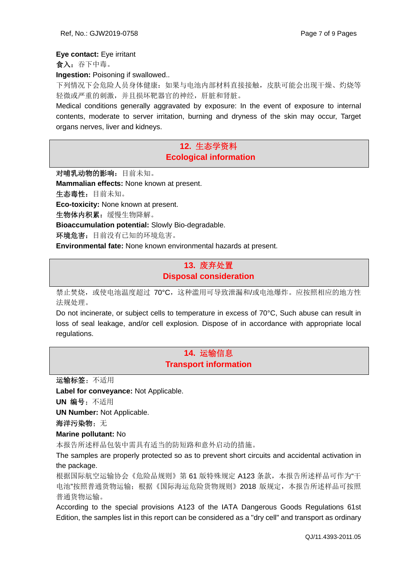#### **Eye contact:** Eye irritant

食入:吞下中毒。

**Ingestion: Poisoning if swallowed..** 

下列情况下会危险人员身体健康:如果与电池内部材料直接接触,皮肤可能会出现干燥、灼烧等 轻微或严重的刺激,并且损坏靶器官的神经,肝脏和肾脏。

Medical conditions generally aggravated by exposure: In the event of exposure to internal contents, moderate to server irritation, burning and dryness of the skin may occur, Target organs nerves, liver and kidneys.

### **12.** 生态学资料  **Ecological information**

对哺乳动物的影响:目前未知。 **Mammalian effects:** None known at present. 生态毒性:目前未知。 **Eco-toxicity:** None known at present. 生物体内积累:缓慢生物降解。 **Bioaccumulation potential:** Slowly Bio-degradable. 环境危害:目前没有已知的环境危害。

**Environmental fate:** None known environmental hazards at present.

## **13.** 废弃处置 **Disposal consideration**

禁止焚烧,或使电池温度超过 70°C,这种滥用可导致泄漏和/或电池爆炸。应按照相应的地方性 法规处理。

Do not incinerate, or subject cells to temperature in excess of 70°C, Such abuse can result in loss of seal leakage, and/or cell explosion. Dispose of in accordance with appropriate local regulations.

## **14.** 运输信息 **Transport information**

运输标签:不适用

**Label for conveyance:** Not Applicable.

**UN** 编号:不适用

**UN Number:** Not Applicable.

海洋污染物: 无

**Marine pollutant:** No

本报告所述样品包装中需具有适当的防短路和意外启动的措施。

The samples are properly protected so as to prevent short circuits and accidental activation in the package.

根据国际航空运输协会《危险品规则》第 61 版特殊规定 A123 条款, 本报告所述样品可作为"干 电池"按照普通货物运输;根据《国际海运危险货物规则》2018 版规定,本报告所述样品可按照 普通货物运输。

According to the special provisions A123 of the IATA Dangerous Goods Regulations 61st Edition, the samples list in this report can be considered as a "dry cell" and transport as ordinary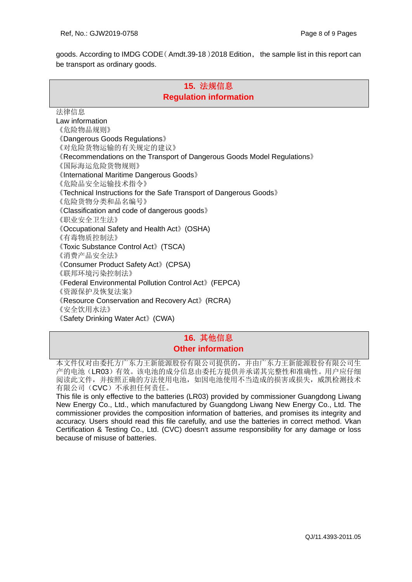goods. According to IMDG CODE(Amdt.39-18)2018 Edition, the sample list in this report can be transport as ordinary goods.

## **15.** 法规信息 **Regulation information**

法律信息 Law information 《危险物品规则》 《Dangerous Goods Regulations》 《对危险货物运输的有关规定的建议》 《Recommendations on the Transport of Dangerous Goods Model Regulations》 《国际海运危险货物规则》 《International Maritime Dangerous Goods》 《危险品安全运输技术指令》 《Technical Instructions for the Safe Transport of Dangerous Goods》 《危险货物分类和品名编号》 《Classification and code of dangerous goods》 《职业安全卫生法》 《Occupational Safety and Health Act》(OSHA) 《有毒物质控制法》 《Toxic Substance Control Act》(TSCA) 《消费产品安全法》 《Consumer Product Safety Act》(CPSA) 《联邦环境污染控制法》 《Federal Environmental Pollution Control Act》(FEPCA) 《资源保护及恢复法案》 《Resource Conservation and Recovery Act》(RCRA) 《安全饮用水法》 《Safety Drinking Water Act》(CWA)

## **16.** 其他信息 **Other information**

本文件仅对由委托方广东力王新能源股份有限公司提供的,并由广东力王新能源股份有限公司生 产的电池(LR03)有效。该电池的成分信息由委托方提供并承诺其完整性和准确性。用户应仔细 阅读此文件,并按照正确的方法使用电池,如因电池使用不当造成的损害或损失,威凯检测技术 有限公司(CVC)不承担任何责任。

This file is only effective to the batteries (LR03) provided by commissioner Guangdong Liwang New Energy Co., Ltd., which manufactured by Guangdong Liwang New Energy Co., Ltd. The commissioner provides the composition information of batteries, and promises its integrity and accuracy. Users should read this file carefully, and use the batteries in correct method. Vkan Certification & Testing Co., Ltd. (CVC) doesn't assume responsibility for any damage or loss because of misuse of batteries.